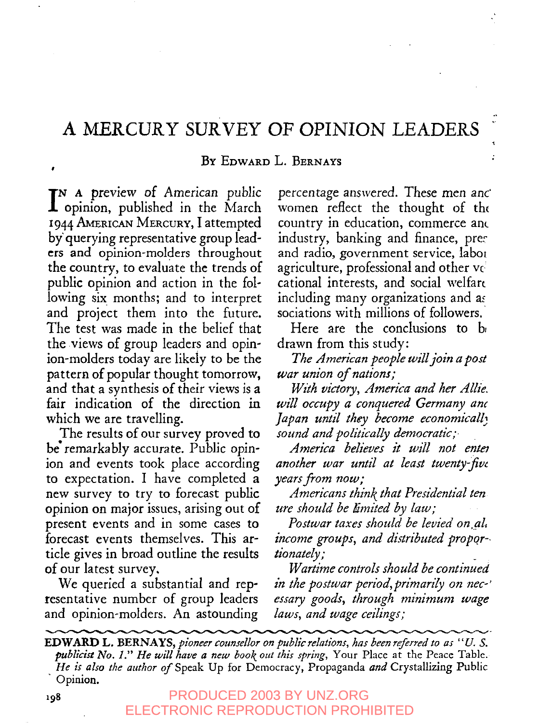# **A MERCURY SURVEY OF OPINION LEADERS**

#### BY EDWARD L. BERNAYS

I<sup>N</sup> A preview of American public<br> **I** opinion, published in the March  $\mathbb{T}N$  A preview of American public 1944 AMERICAN MERCURY, I attempted by' querying representative group leaders and opinion-molders throughout the country, to evaluate the trends of public opinion and action in the following six months; and to interpret and project them into the future. The test was made in the belief that the views of group leaders and opinion-molders today are likely to be the pattern of popular thought tomorrow, and that a synthesis of their views is a fair indication of the direction in which we are travelling.

The results of our survey proved to be'remarkably accurate. Public opinion and events took place according to expectation. I have completed a new survey to try to forecast public opinion on major issues, arising out of present events and in some cases to forecast events themselves. This article gives in broad outline the results of our latest survey.

We queried a substantial and representative number of group leaders and opinion-molders. An astounding

percentage answered. These men anc" women reflect the thought of the country in education, commerce ant industry, banking and finance, prec and radio, government service, taboi agriculture, professional and other cational interests, and social welfart including many organizations and as sociations with millions of followers.

ż

Here are the conclusions to b drawn from this study:

*The dmerican people willjoin a post war union of nations;*

*With victory, dmerica and her dllie. will occupy a conquered Germany anc Japan until they become economicall~ sound and politically democratic;.*

*dmerica believes it will not entey another war until at least twenty~w years from now;*

*dmericans think that Presidential ten ure shouM be limited by law;*

Postwar taxes should be levied on, al. *income groups, and distributed propo.r-. tionately;*

*Wartime controls shouM be continued in the postwar period, primarily on nec-' essary goods, through minimum wage laws, and wage ceilings;*

EDWARD L. BERNAYS, *pioneer counsellor on public relations, has been referred to as* "U. S. publicist No. 1." He will have a new book out this spring, Your Place at the Peace Table. He is also the author of Speak Up for Democracy, Propaganda and Crystallizing Public Opinion.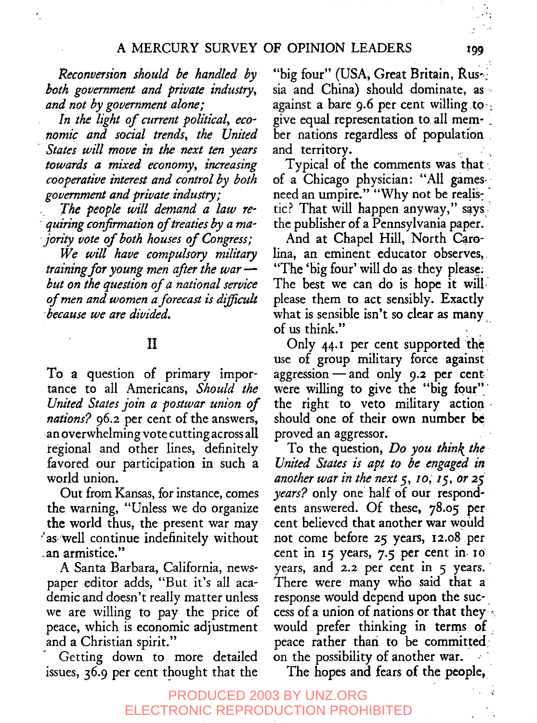*Reconversion should be handled by both government and private industry, and not by government alone;*

*In the light of current political, economic and social trends, the United States will move in the next ten years towards a mixed economy, increasing cooperative interest and control by both government and private industry;*

*The people will demand a law requiring confirmation oftreaties by a ma- "jority vote of both houses of Congress;*

*We will have compulsory military training for young men after the war- but on the question of a national service of men and women a forecast is difficult because we are divided.*

## II

To a question of primary importance to all Americans, *Should the United States join a postwar union of nations?* 96.2 per cent of the answers, an overwhelming vote cutting across all regional and other lines, definitely favored our participation in such a world union.

Out from Kansas, for instance, comes the warning, "Unless we do organize the world thus, the present war may 'as well continue indefinitely without .an armistice."

A Santa Barbara, California, newspaper editor adds, "But it's all academic and doesn't really matter unless we are willing to pay the price of peace, which is economic adjustment and a Christian spirit."

Getting down to more detailed issues, 36.9 per cent thought that the

"big four" (USA, Great Britain, Rus-) sia and China) should dominate, as against a bare 9.6 per cent willing to give equal representation to. all mem~ . her nations regardless of population . and territory.

Typical of the comments was that of a Chicago physician: "All gamesneed an umpire." "Why not be realistic? That will happen anyway," says the publisher of a Pennsylvania paper.

And at Chapel Hill, North Carolina, an eminent educator observes,. "The 'big four' will do as they please.; The best we can do is hope it will. please them to act sensibly. Exactly what is sensible isn't so clear as many of us think."

Only  $44.1$  per cent supported the use of group military force against aggression  $-$  and only 9.2 per cent. were willing to give the "big four", the right to veto military actionshould one of their own number be proved an aggressor.

To the question, *Do you think the-United States is apt to be engaged in another war in the next 5, 10, 15, or 25 years?* only one half of our respondents answered. Of these, 78.o5 per cent believed that another war would not come before 25 years, x2.o8 per cent in  $15$  years,  $7.5$  per cent in  $10$ years, and 2.2 per cent in 5 years. There were many who said that a response would depend upon the success of a union of nations or that they would prefer thinking in terms of.. peace rather than to be committed; on the possibility of another war.

The hopes and fears of the people,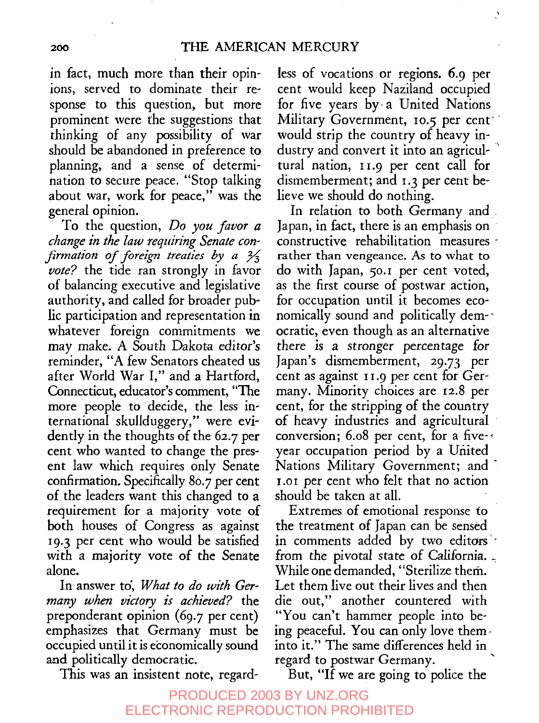in fact, much more than their opinions, served to dominate their response to this question, but more prominent were the suggestions that thinking of any possibility of war should be abandoned in preference to planning, and a sense of determination to secure peace. "Stop talking about war, work for peace," was the general opinion.

To the question, *Do you favor a change in the law requiring Senate confirmation of foreign treaties by a*  $\frac{2}{3}$ *vote?* the tide ran strongly in favor of balancing executive and legislative authority, and called for broader public participation and representation in whatever foreign commitments we may make. A South Dakota editor's reminder, "A few Senators cheated us after World War *I,"* and a Hartford, Connecticut, educator's comment, "The more people to decide, the less international skullduggery," were evidently in the thoughts of the 62.7 per cent who wanted to change the present law which requires only Senate confirmation. Specifically 80.7 per cent of. the leaders want this changed to a requirement for a majority vote of both houses of Congress as against i9. 3 per cent who would be satisfied with a majority vote of the Senate alone.

In answer to', *What to do with Germany when victory is achieved?* the preponderant opinion (69.7 per cent) emphasizes that Germany must be occupied until it is economically sound and politically democratic.

This was an insistent note, regard-

less of vocations or regions. 6.9 per cent would keep Naziland occupied for five years by. a United Nations Military Government, 10.5 per cent<sup>®</sup> would strip the country of heavy industry and convert it into an agricultural nation, 11.9 per cent call for dismemberment; and  $x, z$  per cent believe we should do nothing.

In relation to both Germany and. Japan, in fact, there is an emphasis on constructive rehabilitation measures " rather than vengeance. As to what to do with Japan, 5o.~ per cent voted, as the first course of postwar action, for occupation until it becomes economically sound and politically democratic, even though as an alternative there is a stronger percentage for Japan's dismemberment, 29.73 per cent as against  $11.9$  per cent for Germany. Minority choices are 12.8 per cent, for the stripping of the country of heavy industries and agricultural conversion;  $6.08$  per cent, for a five- $\epsilon$ year occupation period by a United Nations Military Government; and 1.01 per cent who felt that no action should be taken at all.

Extremes of emotional response to the treatment of Japan can be sensed in comments added by two editors from the pivotal state of California. While one demanded, "Sterilize them. Let them live out their lives and then die out," another countered with "You can't hammer people into being peaceful. You can only love theminto it." The same differences held in regard to postwar Germany.

But, "If we are going to police the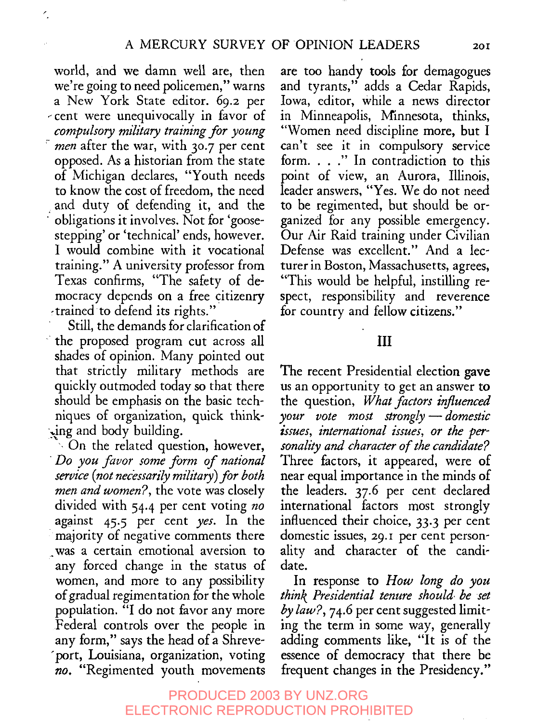world, and we damn well are, then we're going to need policemen," warns a New York State editor. *69.2* per ~ cent were unequivocally in favor of *compulsory military training for young*  $\epsilon$  men after the war, with 30.7 per cent opposed. As a historian from the state of Michigan declares, "Youth needs to know the cost of freedom, the need and duty of defending it, and the obligations it involves. Not for 'goosestepping' or 'technical' ends, however. I would combine with it vocational training." A university professor from Texas confirms, "The safety of democracy depends on a free citizenry -trained to defend its rights."

r.

Still, the demands for clarification of " the proposed program cut across all shades of opinion. Many pointed out that strictly military methods are quickly outmoded today so that there should be emphasis on the basic techniques of organization, quick thinking and body building.

 $\sim$  On the related question, however, *¯ Do you favor some form of national service (not necessarily military) for both men and women?,* the vote was closely divided with 54.4 per cent voting *no* against 45-5 per cent *yes.* In the majority of negative comments there ..was a certain emotional aversion to any forced change in the status of women, and more to any possibility of gradual regimentation for the whole population. "I do not favor any more Federal controls over the people in any form," says the head of a Shreve- "port, Louisiana, organization, voting *no.* "Regimented youth movements

are too handy tools for demagogues and tyrants," adds a Cedar Rapids, Iowa, editor, While a news director in Minneapolis, Minnesota, thinks, "Women need discipline more, but can't see it in compulsory service form. . . ." In contradiction to this point of view, an Aurora, Illinois, leader answers, "Yes. We do not need to be regimented, but should be organized for any possible emergency. Our Air Raid training under Civilian Defense was excellent." And a lecturer in Boston, Massachusetts, agrees, "This would be helpful, instilling respect, responsibility and reverence for country and fellow citizens."

### III

The recent Presidential election gave us an opportunity to get an answer to the question, *What factors influenced y.our vote most strongly--domestic zssues, international issues, or the personality and character of the candidate?* Three factors, it appeared, were of near equal importance in the minds of the leaders. 37.6 per cent declared international factors most strongly influenced their choice, 33.3 per cent domestic issues, 29.1 per cent personality and character of the candidate.

In response to *How long do you think Presidential tenure should, be set by law?,* 74.6 per cent suggested limiting the term in some way, generally adding comments like, "It is of the essence of democracy that there be frequent changes in the Presidency."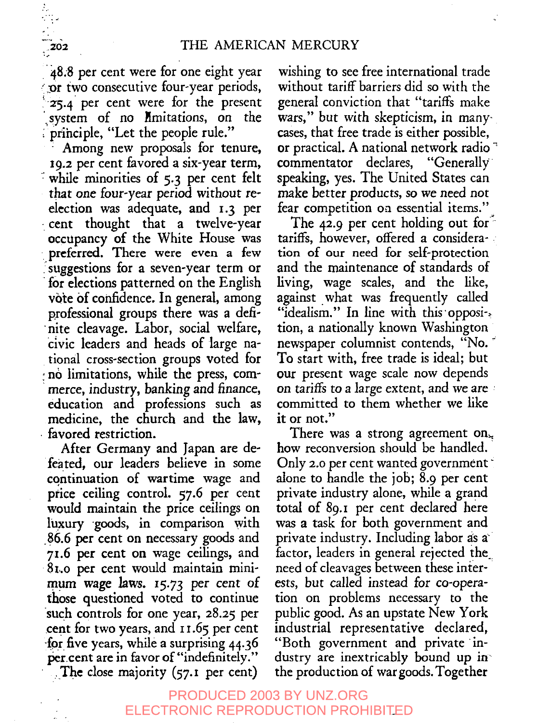~8.8 per cent were for one eight year or two consecutive four-year periods, 25.4 per cent were for the present<br>system of no *l*imitations, on the system of no limitations, on ' priiaciple, "Let the people rule."

Among new proposals for tenure, I9.2 per cent favored a six-year term, while minorities of 5.3 per cent felt that one four-year period without reelection was adequate, and 1.3 per cent thought that a twelve-year occupancy of the White House was preferred. There were even a few . suggestions for a seven-year term or for elections patterned on the English vote of confidence. In general, among professional groups there was a deftnite cleavage. Labor, social welfare, civic leaders and heads of large national cross-section groups voted for no limitations, while the press, commerce, industry, banking and finance, education and professions such as medicine, the church and the law, favored restriction.

After Germany and Japan are defeated, our leaders believe in some continuation of wartime wage and price ceiling control. 57.6 per cent would maintain the price ceilings on luxury goods, in comparison with .86.6 per cent on necessary goods and 7z.6 per cent on wage ceilings, and ~ 8z..o per cent would maintain minimum wage laws. I5.73 per cent of those questioned voted to continue such controls for one year, 28.25 per .cent for two years, and 11.65 per cent for five years, while a surprising 44.36 per.cent are in favor of "indefinitely." The close majority (57.1 per cent)

wishing to see free international trade without tariff barriers did so with the general conviction that "tariffs make wars," but with skepticism, in manycases, that free trade is either possible, or practical. A national network radio ~ commentator declares, "Generally speaking, yes. The United States can make better products, so we need not fear competition on essential items."

The 42.9 per cent holding out for  $\hat{ }$ tariffs, however, offered a consideration of our need for self-protection and the maintenance of standards of living, wage scales, and the like, against what was frequently called "idealism." In line with this opposi-.. tion, a nationally known Washington newspaper columnist contends, "No. To start with, free trade is ideal; but our present wage scale now depends on tariffs to a large extent, and we are committed to them whether we like it or not."

There was a strong agreement on. how reconversion should be handled. Only 2.0 per cent wanted government  $\check{\phantom{a}}$ alone to handle the job; 8.9 per cent private industry alone, while a grand total of 89.x per cent declared here was a task for both government and private industry. Including labor as a factor, leaders in general rejected the. need of cleavages between these interests, but called instead for co-operation on problems necessary to the public good. As an upstate New York industrial representative declared, "Both government and private industry are inextricably bound up in the production of war goods. Together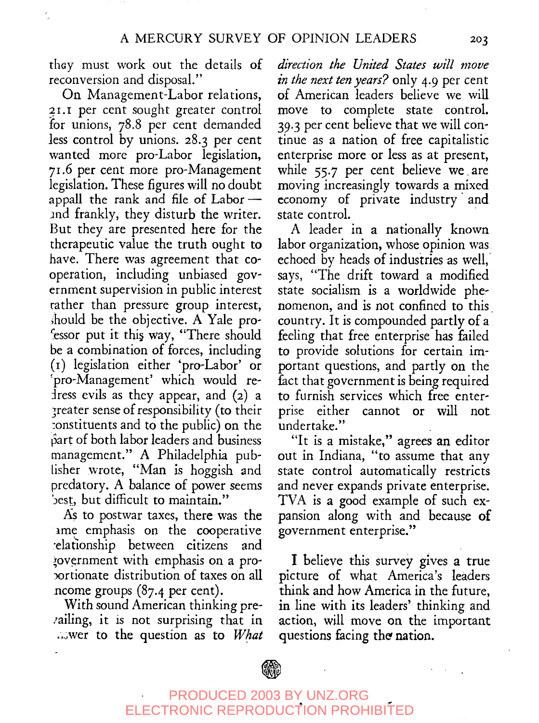thay must work out the details of reconversion and disposal."

On Management-Labor relations, 21.1 per cent sought greater control for unions, 78.8 per cent demanded less control by unions. 28.3 per cent wanted more pro-Labor legislation, 7~.6 per cent more pro-Management legislation. These figures will no doubt appall the rank and file of Labor $$ and frankly, they disturb the writer. But they are presented here for the therapeutic value the truth ought to have. There was agreement that cooperation, including unbiased government supervision in public interest rather than pressure group interest, should be the objective. A Yale pro-'essor put it this way, "There should be a combination of forces, including (i) legislation either 'pro-Labor' ~pro-Management' which would redress evils as they appear, and  $(2)$  a 3reater sense of responsibility (to their :onstituents and to the public) on the bart of both labor leaders and business management." A Philadelphia publisher wrote, "Man is hoggish and predatory. A balance of power seems best, but difficult to maintain."

As to postwar taxes, there was the ame emphasis on the cooperative :elafionship between citizens and ~ov.ernment with emphasis on a prox3rtionate distribution of taxes On all ncome groups (87.4 per cent).

With sound American thinking pre- :ailing, it is not surprising that in \_Jwer to the question as to *What*

*direction the United States will move in the next ten years?* only 4.9 per cent of American leaders believe we will move to complete state control. 39.3 per cent believe that we will continue as a nation of free capitalistic enterprise more or less as at present, while 55.7 per cent believe we are moving increasingly towards a mixed economy of private industry'and state control.

A leader in a nationally known labor organization, whose opinion was echoed by heads of industries as well, says, "The drift toward a modified state socialism is a worldwide phenomenon, and is not confined to this country. It is compounded partly of a feeling that free enterprise has failed to provide solutions for certain important questions, and partly on the fact that government is being required to furnish services which free enterprise either cannot or will not undertake."

"It is a mistake," agrees an editor out in Indiana, "to assume that any state control automatically restricts and never expands private enterprise. TVA is a good example of such expansion along with and because of government enterprise."

I believe this survey gives a true picture of what America's leaders think and how America in the future, in line with its leaders' thinking and action, will move on the important questions facing the nation.